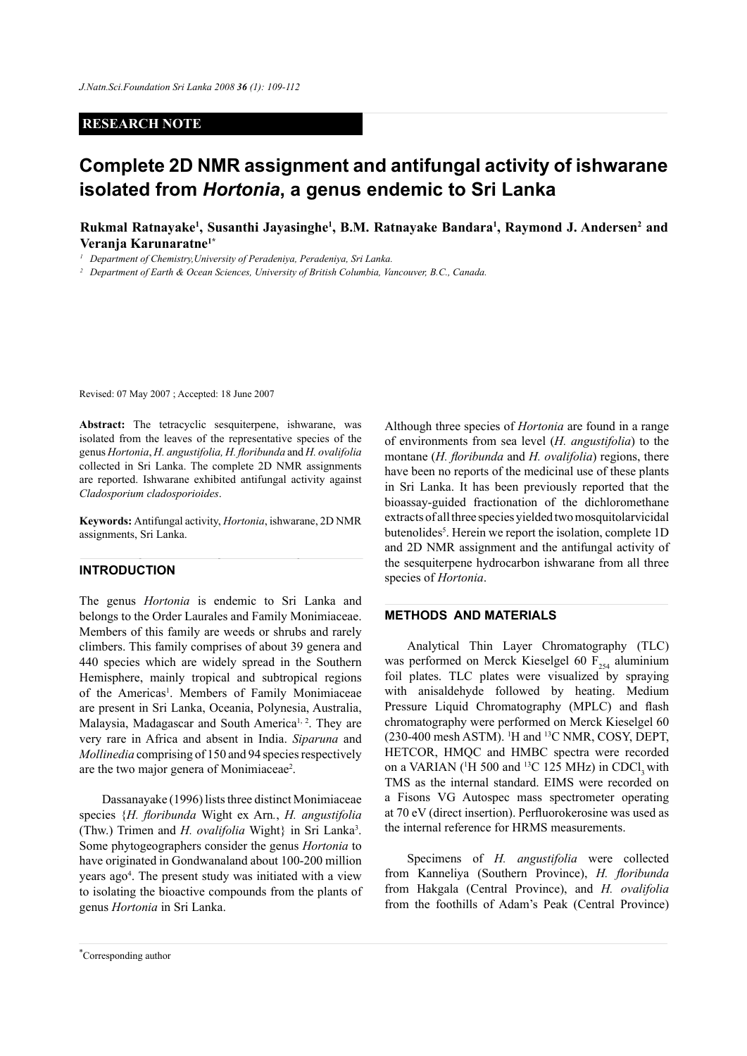## **RESEARCH NOTE**

# **Complete 2D NMR assignment and antifungal activity of ishwarane isolated from** *Hortonia***, a genus endemic to Sri Lanka**

Rukmal Ratnayake<sup>1</sup>, Susanthi Jayasinghe<sup>1</sup>, B.M. Ratnayake Bandara<sup>1</sup>, Raymond J. Andersen<sup>2</sup> and **Veranja Karunaratne1\***

*<sup>1</sup> Department of Chemistry,University of Peradeniya, Peradeniya, Sri Lanka.* 

*<sup>2</sup> Department of Earth & Ocean Sciences, University of British Columbia, Vancouver, B.C., Canada.*

Revised: 07 May 2007 ; Accepted: 18 June 2007

**Abstract:** The tetracyclic sesquiterpene, ishwarane, was isolated from the leaves of the representative species of the genus *Hortonia*, *H. angustifolia, H. floribunda* and *H. ovalifolia*  collected in Sri Lanka. The complete 2D NMR assignments are reported. Ishwarane exhibited antifungal activity against *Cladosporium cladosporioides*.

**Keywords:** Antifungal activity, *Hortonia*, ishwarane, 2D NMR assignments, Sri Lanka.

## **INTRODUCTION**

The genus *Hortonia* is endemic to Sri Lanka and belongs to the Order Laurales and Family Monimiaceae. Members of this family are weeds or shrubs and rarely climbers. This family comprises of about 39 genera and 440 species which are widely spread in the Southern Hemisphere, mainly tropical and subtropical regions of the Americas<sup>1</sup>. Members of Family Monimiaceae are present in Sri Lanka, Oceania, Polynesia, Australia, Malaysia, Madagascar and South America<sup>1, 2</sup>. They are very rare in Africa and absent in India. *Siparuna* and *Mollinedia* comprising of 150 and 94 species respectively are the two major genera of Monimiaceae<sup>2</sup>.

Dassanayake (1996) lists three distinct Monimiaceae species {*H. floribunda* Wight ex Arn*.*, *H. angustifolia*  (Thw.) Trimen and *H. ovalifolia* Wight} in Sri Lanka3 . Some phytogeographers consider the genus *Hortonia* to have originated in Gondwanaland about 100-200 million years ago4 . The present study was initiated with a view to isolating the bioactive compounds from the plants of genus *Hortonia* in Sri Lanka.

Although three species of *Hortonia* are found in a range of environments from sea level (*H. angustifolia*) to the montane (*H. floribunda* and *H. ovalifolia*) regions, there have been no reports of the medicinal use of these plants in Sri Lanka. It has been previously reported that the bioassay-guided fractionation of the dichloromethane extracts of all three species yielded two mosquitolarvicidal butenolides<sup>5</sup>. Herein we report the isolation, complete 1D and 2D NMR assignment and the antifungal activity of the sesquiterpene hydrocarbon ishwarane from all three species of *Hortonia*.

## **METHODS AND MATERIALS**

Analytical Thin Layer Chromatography (TLC) was performed on Merck Kieselgel 60  $F_{254}$  aluminium foil plates. TLC plates were visualized by spraying with anisaldehyde followed by heating. Medium Pressure Liquid Chromatography (MPLC) and flash chromatography were performed on Merck Kieselgel 60  $(230-400 \text{ mesh } ASTM)$ . <sup>1</sup>H and <sup>13</sup>C NMR, COSY, DEPT, HETCOR, HMQC and HMBC spectra were recorded on a VARIAN ( ${}^{1}H$  500 and  ${}^{13}C$  125 MHz) in CDCl<sub>3</sub> with TMS as the internal standard. EIMS were recorded on a Fisons VG Autospec mass spectrometer operating at 70 eV (direct insertion). Perfluorokerosine was used as the internal reference for HRMS measurements.

Specimens of *H. angustifolia* were collected from Kanneliya (Southern Province), *H. floribunda* from Hakgala (Central Province), and *H. ovalifolia*  from the foothills of Adam's Peak (Central Province)

*Journal of the National Science Foundation of Sri Lanka 36 (1) March 2008* \* Corresponding author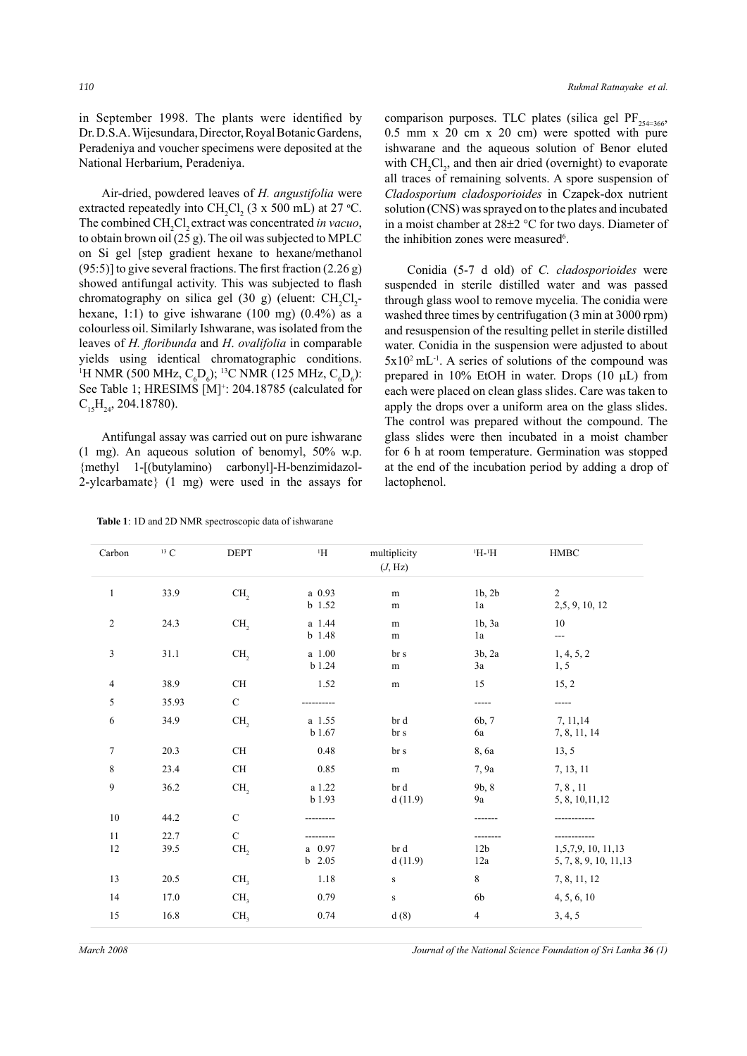in September 1998. The plants were identified by Dr. D.S.A. Wijesundara, Director, Royal Botanic Gardens, Peradeniya and voucher specimens were deposited at the National Herbarium, Peradeniya.

Air-dried, powdered leaves of *H. angustifolia* were extracted repeatedly into  $CH_2Cl_2$  (3 x 500 mL) at 27 °C. The combined CH<sub>2</sub>Cl<sub>2</sub> extract was concentrated *in vacuo*, to obtain brown oil (25 g). The oil was subjected to MPLC on Si gel [step gradient hexane to hexane/methanol  $(95:5)$ ] to give several fractions. The first fraction  $(2.26 g)$ showed antifungal activity. This was subjected to flash chromatography on silica gel (30 g) (eluent:  $CH_2Cl_2$ hexane, 1:1) to give ishwarane  $(100 \text{ mg})$   $(0.4\%)$  as a colourless oil. Similarly Ishwarane, was isolated from the leaves of *H. floribunda* and *H*. *ovalifolia* in comparable yields using identical chromatographic conditions. <sup>1</sup>H NMR (500 MHz,  $C_{6}D_{6}$ ); <sup>13</sup>C NMR (125 MHz,  $C_{6}D_{6}$ ): See Table 1; HRESIMS [M]<sup>+</sup>: 204.18785 (calculated for  $C_{15}H_{24}$ , 204.18780).

Antifungal assay was carried out on pure ishwarane (1 mg). An aqueous solution of benomyl, 50% w.p. {methyl 1-[(butylamino) carbonyl]-H-benzimidazol-2-ylcarbamate} (1 mg) were used in the assays for

**Table 1**: 1D and 2D NMR spectroscopic data of ishwarane

comparison purposes. TLC plates (silica gel  $PF_{254=366}$ 0.5 mm x 20 cm x 20 cm) were spotted with pure ishwarane and the aqueous solution of Benor eluted with  $CH_2Cl_2$ , and then air dried (overnight) to evaporate all traces of remaining solvents. A spore suspension of *Cladosporium cladosporioides* in Czapek-dox nutrient solution (CNS) was sprayed on to the plates and incubated in a moist chamber at 28±2 °C for two days. Diameter of the inhibition zones were measured<sup>6</sup>.

Conidia (5-7 d old) of *C. cladosporioides* were suspended in sterile distilled water and was passed through glass wool to remove mycelia. The conidia were washed three times by centrifugation (3 min at 3000 rpm) and resuspension of the resulting pellet in sterile distilled water. Conidia in the suspension were adjusted to about  $5x10^2$  mL<sup>-1</sup>. A series of solutions of the compound was prepared in 10% EtOH in water. Drops (10 µL) from each were placed on clean glass slides. Care was taken to apply the drops over a uniform area on the glass slides. The control was prepared without the compound. The glass slides were then incubated in a moist chamber for 6 h at room temperature. Germination was stopped at the end of the incubation period by adding a drop of lactophenol.

| Carbon       | $^{13}$ C    | <b>DEPT</b>                    | ${}^1\mathrm{H}$           | multiplicity<br>(J, Hz) | $H^{-1}H$              | HMBC                                         |
|--------------|--------------|--------------------------------|----------------------------|-------------------------|------------------------|----------------------------------------------|
| $\mathbf{1}$ | 33.9         | CH <sub>2</sub>                | a 0.93<br>b 1.52           | ${\bf m}$<br>m          | 1b, 2b<br>1a           | $\overline{2}$<br>2,5, 9, 10, 12             |
| 2            | 24.3         | CH <sub>2</sub>                | a 1.44<br>b 1.48           | ${\bf m}$<br>${\bf m}$  | 1b, 3a<br>1a           | $10\,$<br>$---$                              |
| 3            | 31.1         | CH <sub>2</sub>                | a 1.00<br>b 1.24           | br s<br>${\bf m}$       | 3b, 2a<br>3a           | 1, 4, 5, 2<br>1, 5                           |
| 4            | 38.9         | $\rm CH$                       | 1.52                       | ${\bf m}$               | 15                     | 15, 2                                        |
| 5            | 35.93        | $\mathbf C$                    |                            |                         |                        |                                              |
| 6            | 34.9         | CH <sub>2</sub>                | a 1.55<br>b 1.67           | br d<br>br s            | 6b, 7<br>6a            | 7, 11, 14<br>7, 8, 11, 14                    |
| 7            | 20.3         | CH                             | 0.48                       | br s                    | 8, 6a                  | 13, 5                                        |
| $\,$ $\,$    | 23.4         | $\rm CH$                       | 0.85                       | ${\bf m}$               | 7, 9a                  | 7, 13, 11                                    |
| 9            | 36.2         | CH <sub>2</sub>                | a 1.22<br>b 1.93           | br d<br>d(11.9)         | 9b, 8<br>9a            | 7, 8, 11<br>5, 8, 10, 11, 12                 |
| 10           | 44.2         | $\mathbf C$                    |                            |                         |                        |                                              |
| 11<br>12     | 22.7<br>39.5 | $\mathbf C$<br>CH <sub>2</sub> | $a \quad 0.97$<br>$b$ 2.05 | br d<br>d(11.9)         | 12 <sub>b</sub><br>12a | 1,5,7,9, 10, 11,13<br>5, 7, 8, 9, 10, 11, 13 |
| 13           | $20.5\,$     | CH <sub>3</sub>                | 1.18                       | $\mathbf S$             | $\,$ 8 $\,$            | 7, 8, 11, 12                                 |
| 14           | 17.0         | CH <sub>3</sub>                | 0.79                       | $\mathbf S$             | 6b                     | 4, 5, 6, 10                                  |
| 15           | $16.8\,$     | CH <sub>3</sub>                | 0.74                       | d(8)                    | $\overline{4}$         | 3, 4, 5                                      |

*March 2008 Journal of the National Science Foundation of Sri Lanka* **36** *(1) Journal of the National Science Foundation of Sri Lanka* **36** *(1)*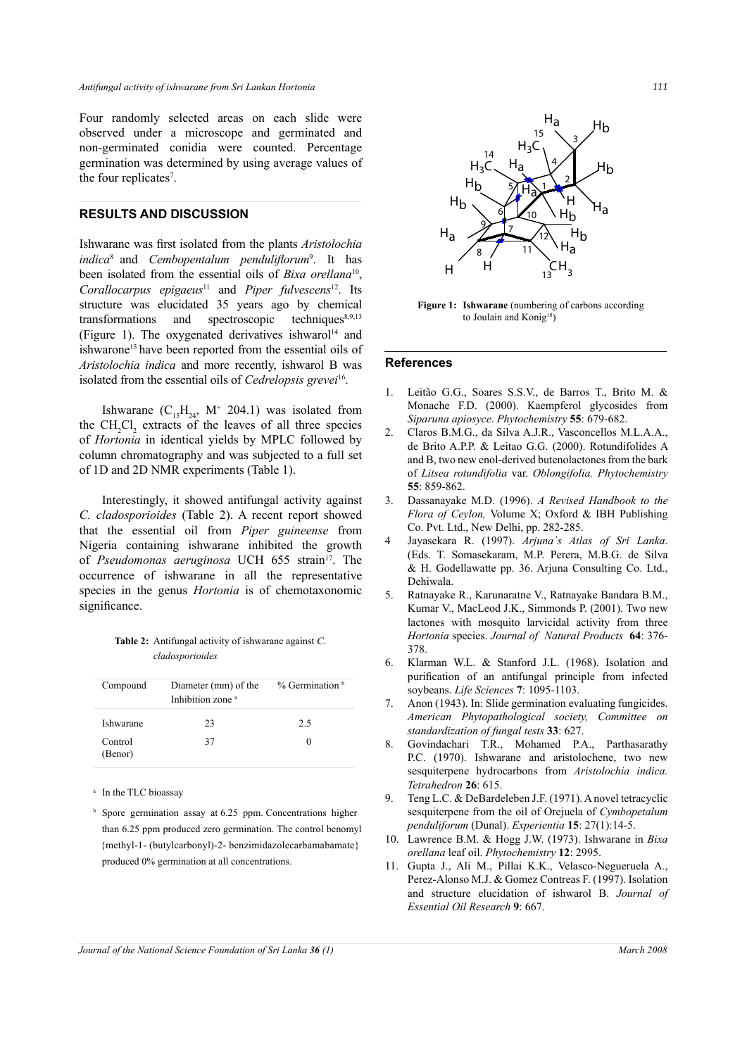Four randomly selected areas on each slide were observed under a microscope and germinated and non-germinated conidia were counted. Percentage germination was determined by using average values of the four replicates<sup>7</sup>.

## **RESULTS AND DISCUSSION**

Ishwarane was first isolated from the plants *Aristolochia indica*8 and *Cembopentalum penduliflorum*<sup>9</sup> . It has been isolated from the essential oils of *Bixa orellana*10, *Corallocarpus epigaeus*11 and *Piper fulvescens*12. Its structure was elucidated 35 years ago by chemical transformations and spectroscopic techniques $8,9,13$ (Figure 1). The oxygenated derivatives ishwarol<sup>14</sup> and ishwarone<sup>15</sup> have been reported from the essential oils of *Aristolochia indica* and more recently, ishwarol B was isolated from the essential oils of *Cedrelopsis grevei*16.

Ishwarane  $(C_{15}H_{24}$ , M<sup>+</sup> 204.1) was isolated from the  $CH_2Cl_2$  extracts of the leaves of all three species of *Hortonia* in identical yields by MPLC followed by column chromatography and was subjected to a full set of 1D and 2D NMR experiments (Table 1).

Interestingly, it showed antifungal activity against *C. cladosporioides* (Table 2). A recent report showed that the essential oil from *Piper guineense* from Nigeria containing ishwarane inhibited the growth of *Pseudomonas aeruginosa* UCH 655 strain<sup>17</sup>. The occurrence of ishwarane in all the representative species in the genus *Hortonia* is of chemotaxonomic significance.

**Table 2:** Antifungal activity of ishwarane against *C. cladosporioides*

| Compound           | Diameter (mm) of the<br>Inhibition zone <sup>a</sup> | $%$ Germination $b$ |
|--------------------|------------------------------------------------------|---------------------|
| Ishwarane          | 23                                                   | 2.5                 |
| Control<br>(Benor) | 37                                                   | $\mathbf{0}$        |

<sup>a</sup> In the TLC bioassay

<sup>b</sup> Spore germination assay at 6.25 ppm. Concentrations higher than 6.25 ppm produced zero germination. The control benomyl {methyl-1- (butylcarbonyl)-2- benzimidazolecarbamabamate} produced 0% germination at all concentrations.



**Figure 1:** Ishwarane (numbering of carbons according to Joulain and Konig<sup>18</sup>)

#### **References**

- 1. Leitao G.G., Soares S.S.V., de Barros T., Brito M. & Monache F.D. (2000). Kaempferol glycosides from *Siparuna apiosyce*. *Phytochemistry* **55**: 679-682.
- 2. Claros B.M.G., da Silva A.J.R., Vasconcellos M.L.A.A., de Brito A.P.P. & Leitao G.G. (2000). Rotundifolides A and B, two new enol-derived butenolactones from the bark of *Litsea rotundifolia* var. *Oblongifolia. Phytochemistry* **55**: 859-862.
- 3. Dassanayake M.D. (1996). *A Revised Handbook to the Flora of Ceylon,* Volume X; Oxford & IBH Publishing Co. Pvt. Ltd., New Delhi, pp. 282-285.
- 4 Jayasekara R. (1997). *Arjuna`s Atlas of Sri Lanka*. (Eds. T. Somasekaram, M.P. Perera, M.B.G. de Silva & H. Godellawatte pp. 36. Arjuna Consulting Co. Ltd., Dehiwala.
- 5. Ratnayake R., Karunaratne V., Ratnayake Bandara B.M., Kumar V., MacLeod J.K., Simmonds P. (2001). Two new lactones with mosquito larvicidal activity from three *Hortonia* species. *Journal of Natural Products* **64**: 376- 378.
- 6. Klarman W.L. & Stanford J.L. (1968). Isolation and purification of an antifungal principle from infected soybeans. *Life Sciences* **7**: 1095-1103.
- 7. Anon (1943). In: Slide germination evaluating fungicides. *American Phytopathological society, Committee on standardization of fungal tests* **33**: 627.
- 8. Govindachari T.R., Mohamed P.A., Parthasarathy P.C. (1970). Ishwarane and aristolochene, two new sesquiterpene hydrocarbons from *Aristolochia indica. Tetrahedron* **26**: 615.
- 9. Teng L.C. & DeBardeleben J.F. (1971). A novel tetracyclic sesquiterpene from the oil of Orejuela of *Cymbopetalum penduliforum* (Dunal). *Experientia* **15**: 27(1):14-5.
- 10. Lawrence B.M. & Hogg J.W. (1973). Ishwarane in *Bixa orellana* leaf oil. *Phytochemistry* **12**: 2995.
- 11. Gupta J., Ali M., Pillai K.K., Velasco-Negueruela A., Perez-Alonso M.J. & Gomez Contreas F. (1997). Isolation and structure elucidation of ishwarol B. *Journal of Essential Oil Research* **9**: 667.